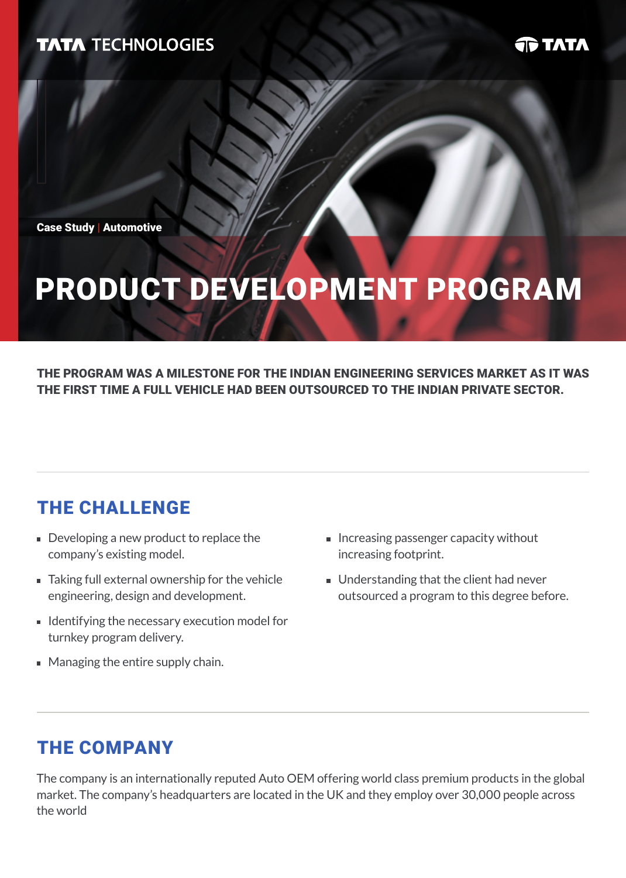### **TATA TECHNOLOGIES**

**JD TATA** 

Case Study | Automotive

# product development program

THE PROGRAM WAS A MILESTONE FOR THE INDIAN ENGINEERING SERVICES MARKET AS IT WAS THE FIRST TIME A FULL VEHICLE HAD BEEN OUTSOURCED TO THE INDIAN PRIVATE SECTOR.

# The Challenge

- Developing a new product to replace the company's existing model.
- Taking full external ownership for the vehicle engineering, design and development.
- **I** Identifying the necessary execution model for turnkey program delivery.
- Managing the entire supply chain.
- Increasing passenger capacity without increasing footprint.
- **Understanding that the client had never** outsourced a program to this degree before.

### The Company

The company is an internationally reputed Auto OEM offering world class premium products in the global market. The company's headquarters are located in the UK and they employ over 30,000 people across the world